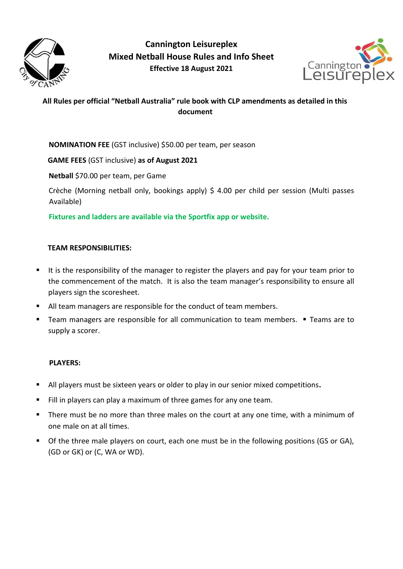

**Cannington Leisureplex Mixed Netball House Rules and Info Sheet Effective 18 August 2021**



# **All Rules per official "Netball Australia" rule book with CLP amendments as detailed in this document**

**NOMINATION FEE** (GST inclusive) \$50.00 per team, per season

**GAME FEES** (GST inclusive) **as of August 2021**

**Netball** \$70.00 per team, per Game

Crèche (Morning netball only, bookings apply) \$ 4.00 per child per session (Multi passes Available)

**Fixtures and ladders are available via the Sportfix app or website.**

# **TEAM RESPONSIBILITIES:**

- It is the responsibility of the manager to register the players and pay for your team prior to the commencement of the match. It is also the team manager's responsibility to ensure all players sign the scoresheet.
- All team managers are responsible for the conduct of team members.
- Team managers are responsible for all communication to team members. Teams are to supply a scorer.

# **PLAYERS:**

- All players must be sixteen years or older to play in our senior mixed competitions**.**
- Fill in players can play a maximum of three games for any one team.
- There must be no more than three males on the court at any one time, with a minimum of one male on at all times.
- Of the three male players on court, each one must be in the following positions (GS or GA), (GD or GK) or (C, WA or WD).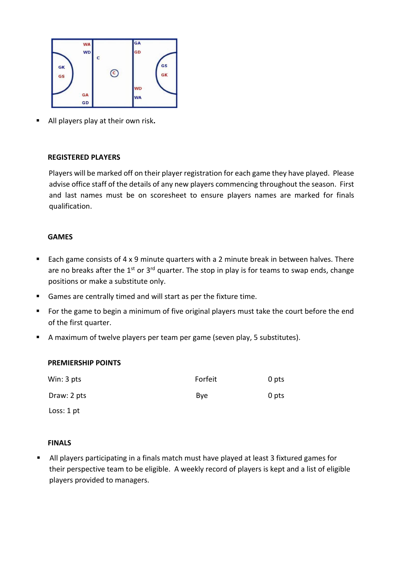

All players play at their own risk**.**

#### **REGISTERED PLAYERS**

Players will be marked off on their player registration for each game they have played. Please advise office staff of the details of any new players commencing throughout the season. First and last names must be on scoresheet to ensure players names are marked for finals qualification.

#### **GAMES**

- Each game consists of 4 x 9 minute quarters with a 2 minute break in between halves. There are no breaks after the  $1^{st}$  or  $3^{rd}$  quarter. The stop in play is for teams to swap ends, change positions or make a substitute only.
- Games are centrally timed and will start as per the fixture time.
- For the game to begin a minimum of five original players must take the court before the end of the first quarter.
- A maximum of twelve players per team per game (seven play, 5 substitutes).

#### **PREMIERSHIP POINTS**

| Win: 3 pts   | Forfeit     | 0 pts |
|--------------|-------------|-------|
| Draw: 2 pts  | <b>B</b> ve | 0 pts |
| Loss: $1$ pt |             |       |

#### **FINALS**

 All players participating in a finals match must have played at least 3 fixtured games for their perspective team to be eligible. A weekly record of players is kept and a list of eligible players provided to managers.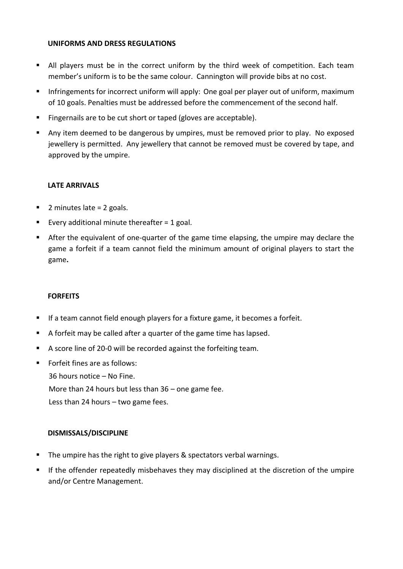## **UNIFORMS AND DRESS REGULATIONS**

- All players must be in the correct uniform by the third week of competition. Each team member's uniform is to be the same colour. Cannington will provide bibs at no cost.
- Infringements for incorrect uniform will apply: One goal per player out of uniform, maximum of 10 goals. Penalties must be addressed before the commencement of the second half.
- Fingernails are to be cut short or taped (gloves are acceptable).
- Any item deemed to be dangerous by umpires, must be removed prior to play. No exposed jewellery is permitted. Any jewellery that cannot be removed must be covered by tape, and approved by the umpire.

# **LATE ARRIVALS**

- $\blacksquare$  2 minutes late = 2 goals.
- Every additional minute thereafter  $= 1$  goal.
- After the equivalent of one-quarter of the game time elapsing, the umpire may declare the game a forfeit if a team cannot field the minimum amount of original players to start the game**.**

## **FORFEITS**

- If a team cannot field enough players for a fixture game, it becomes a forfeit.
- A forfeit may be called after a quarter of the game time has lapsed.
- A score line of 20-0 will be recorded against the forfeiting team.
- Forfeit fines are as follows:

36 hours notice – No Fine. More than 24 hours but less than 36 – one game fee. Less than 24 hours – two game fees.

# **DISMISSALS/DISCIPLINE**

- The umpire has the right to give players & spectators verbal warnings.
- If the offender repeatedly misbehaves they may disciplined at the discretion of the umpire and/or Centre Management.